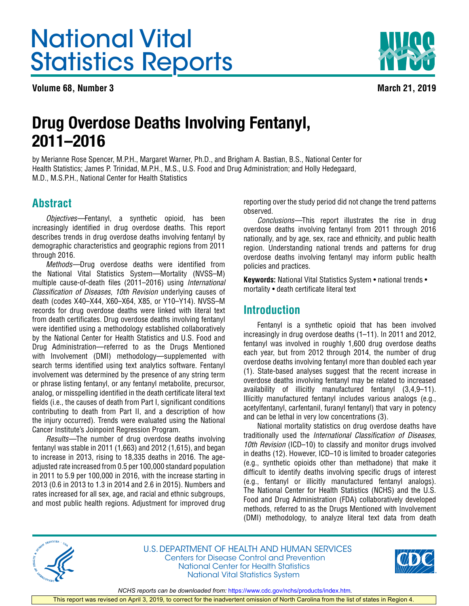# <span id="page-0-0"></span>National Vital Statistics Reports

**Volume 68, Number 3** March 21, 2019



## Drug Overdose Deaths Involving Fentanyl, 2011–2016

by Merianne Rose Spencer, M.P.H., Margaret Warner, Ph.D., and Brigham A. Bastian, B.S., National Center for Health Statistics; James P. Trinidad, M.P.H., M.S., U.S. Food and Drug Administration; and Holly Hedegaard, M.D., M.S.P.H., National Center for Health Statistics

## **Abstract**

*Objectives—*Fentanyl, a synthetic opioid, has been increasingly identified in drug overdose deaths. This report describes trends in drug overdose deaths involving fentanyl by demographic characteristics and geographic regions from 2011 through 2016.

*Methods—*Drug overdose deaths were identified from the National Vital Statistics System—Mortality (NVSS–M) multiple cause-of-death files (2011–2016) using *International Classification of Diseases, 10th Revision* underlying causes of death (codes X40–X44, X60–X64, X85, or Y10–Y14). NVSS–M records for drug overdose deaths were linked with literal text from death certificates. Drug overdose deaths involving fentanyl were identified using a methodology established collaboratively by the National Center for Health Statistics and U.S. Food and Drug Administration—referred to as the Drugs Mentioned with Involvement (DMI) methodology—supplemented with search terms identified using text analytics software. Fentanyl involvement was determined by the presence of any string term or phrase listing fentanyl, or any fentanyl metabolite, precursor, analog, or misspelling identified in the death certificate literal text fields (i.e., the causes of death from Part I, significant conditions contributing to death from Part II, and a description of how the injury occurred). Trends were evaluated using the National Cancer Institute's Joinpoint Regression Program.

*Results—*The number of drug overdose deaths involving fentanyl was stable in 2011 (1,663) and 2012 (1,615), and began to increase in 2013, rising to 18,335 deaths in 2016. The ageadjusted rate increased from 0.5 per 100,000 standard population in 2011 to 5.9 per 100,000 in 2016, with the increase starting in 2013 (0.6 in 2013 to 1.3 in 2014 and 2.6 in 2015). Numbers and rates increased for all sex, age, and racial and ethnic subgroups, and most public health regions. Adjustment for improved drug

reporting over the study period did not change the trend patterns observed.

*Conclusions—*This report illustrates the rise in drug overdose deaths involving fentanyl from 2011 through 2016 nationally, and by age, sex, race and ethnicity, and public health region. Understanding national trends and patterns for drug overdose deaths involving fentanyl may inform public health policies and practices.

**Keywords:** National Vital Statistics System • national trends • mortality • death certificate literal text

## **Introduction**

Fentanyl is a synthetic opioid that has been involved increasingly in drug overdose deaths (1–11). In 2011 and 2012, fentanyl was involved in roughly 1,600 drug overdose deaths each year, but from 2012 through 2014, the number of drug overdose deaths involving fentanyl more than doubled each year (1). State-based analyses suggest that the recent increase in overdose deaths involving fentanyl may be related to increased availability of illicitly manufactured fentanyl (3,4,9–11). Illicitly manufactured fentanyl includes various analogs (e.g., acetylfentanyl, carfentanil, furanyl fentanyl) that vary in potency and can be lethal in very low concentrations (3).

National mortality statistics on drug overdose deaths have traditionally used the *International Classification of Diseases, 10th Revision* (ICD–10) to classify and monitor drugs involved in deaths (12). However, ICD–10 is limited to broader categories (e.g., synthetic opioids other than methadone) that make it difficult to identify deaths involving specific drugs of interest (e.g., fentanyl or illicitly manufactured fentanyl analogs). The National Center for Health Statistics (NCHS) and the U.S. Food and Drug Administration (FDA) collaboratively developed methods, referred to as the Drugs Mentioned with Involvement (DMI) methodology, to analyze literal text data from death



U.S. DEPARTMENT OF HEALTH AND HUMAN SERVICES Centers for Disease Control and Prevention National Center for Health Statistics National Vital Statistics System



*NCHS reports can be downloaded from:* <https://www.cdc.gov/nchs/products/index.htm>*.*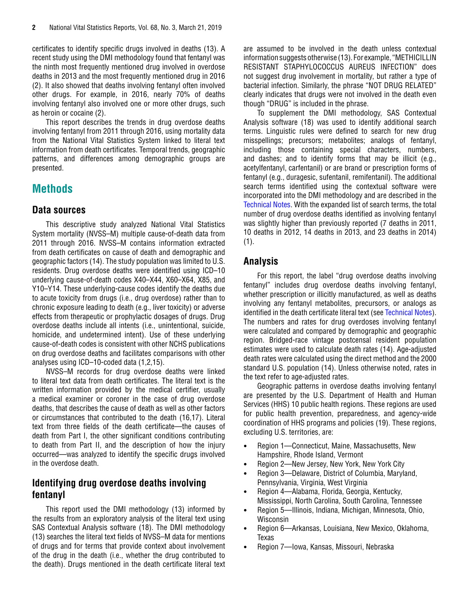<span id="page-1-0"></span>certificates to identify specific drugs involved in deaths (13). A recent study using the DMI methodology found that fentanyl was the ninth most frequently mentioned drug involved in overdose deaths in 2013 and the most frequently mentioned drug in 2016 (2). It also showed that deaths involving fentanyl often involved other drugs. For example, in 2016, nearly 70% of deaths involving fentanyl also involved one or more other drugs, such as heroin or cocaine (2).

This report describes the trends in drug overdose deaths involving fentanyl from 2011 through 2016, using mortality data from the National Vital Statistics System linked to literal text information from death certificates. Temporal trends, geographic patterns, and differences among demographic groups are presented.

## **Methods**

#### **Data sources**

This descriptive study analyzed National Vital Statistics System mortality (NVSS–M) multiple cause-of-death data from 2011 through 2016. NVSS–M contains information extracted from death certificates on cause of death and demographic and geographic factors (14). The study population was limited to U.S. residents. Drug overdose deaths were identified using ICD–10 underlying cause-of-death codes X40–X44, X60–X64, X85, and Y10–Y14. These underlying-cause codes identify the deaths due to acute toxicity from drugs (i.e., drug overdose) rather than to chronic exposure leading to death (e.g., liver toxicity) or adverse effects from therapeutic or prophylactic dosages of drugs. Drug overdose deaths include all intents (i.e., unintentional, suicide, homicide, and undetermined intent). Use of these underlying cause-of-death codes is consistent with other NCHS publications on drug overdose deaths and facilitates comparisons with other analyses using ICD–10-coded data (1,2,15).

NVSS–M records for drug overdose deaths were linked to literal text data from death certificates. The literal text is the written information provided by the medical certifier, usually a medical examiner or coroner in the case of drug overdose deaths, that describes the cause of death as well as other factors or circumstances that contributed to the death (16,17). Literal text from three fields of the death certificate—the causes of death from Part I, the other significant conditions contributing to death from Part II, and the description of how the injury occurred—was analyzed to identify the specific drugs involved in the overdose death.

## **Identifying drug overdose deaths involving fentanyl**

This report used the DMI methodology (13) informed by the results from an exploratory analysis of the literal text using SAS Contextual Analysis software (18). The DMI methodology (13) searches the literal text fields of NVSS–M data for mentions of drugs and for terms that provide context about involvement of the drug in the death (i.e., whether the drug contributed to the death). Drugs mentioned in the death certificate literal text are assumed to be involved in the death unless contextual information suggests otherwise (13). For example, "METHICILLIN RESISTANT STAPHYLOCOCCUS AUREUS INFECTION" does not suggest drug involvement in mortality, but rather a type of bacterial infection. Similarly, the phrase "NOT DRUG RELATED" clearly indicates that drugs were not involved in the death even though "DRUG" is included in the phrase.

To supplement the DMI methodology, SAS Contextual Analysis software (18) was used to identify additional search terms. Linguistic rules were defined to search for new drug misspellings; precursors; metabolites; analogs of fentanyl, including those containing special characters, numbers, and dashes; and to identify forms that may be illicit (e.g., acetylfentanyl, carfentanil) or are brand or prescription forms of fentanyl (e.g., duragesic, sufentanil, remifentanil). The additional search terms identified using the contextual software were incorporated into the DMI methodology and are described in the [Technical Notes.](#page-12-0) With the expanded list of search terms, the total number of drug overdose deaths identified as involving fentanyl was slightly higher than previously reported (7 deaths in 2011, 10 deaths in 2012, 14 deaths in 2013, and 23 deaths in 2014)  $(1).$ 

## **Analysis**

For this report, the label "drug overdose deaths involving fentanyl" includes drug overdose deaths involving fentanyl, whether prescription or illicitly manufactured, as well as deaths involving any fentanyl metabolites, precursors, or analogs as identified in the death certificate literal text (see [Technical Notes\)](#page-12-0). The numbers and rates for drug overdoses involving fentanyl were calculated and compared by demographic and geographic region. Bridged-race vintage postcensal resident population estimates were used to calculate death rates (14). Age-adjusted death rates were calculated using the direct method and the 2000 standard U.S. population (14). Unless otherwise noted, rates in the text refer to age-adjusted rates.

Geographic patterns in overdose deaths involving fentanyl are presented by the U.S. Department of Health and Human Services (HHS) 10 public health regions. These regions are used for public health prevention, preparedness, and agency-wide coordination of HHS programs and policies (19). These regions, excluding U.S. territories, are:

- Region 1—Connecticut, Maine, Massachusetts, New Hampshire, Rhode Island, Vermont
- Region 2—New Jersey, New York, New York City
- Region 3—Delaware, District of Columbia, Maryland, Pennsylvania, Virginia, West Virginia
- Region 4—Alabama, Florida, Georgia, Kentucky, Mississippi, North Carolina, South Carolina, Tennessee
- Region 5—Illinois, Indiana, Michigan, Minnesota, Ohio, Wisconsin
- Region 6—Arkansas, Louisiana, New Mexico, Oklahoma, Texas
- Region 7—Iowa, Kansas, Missouri, Nebraska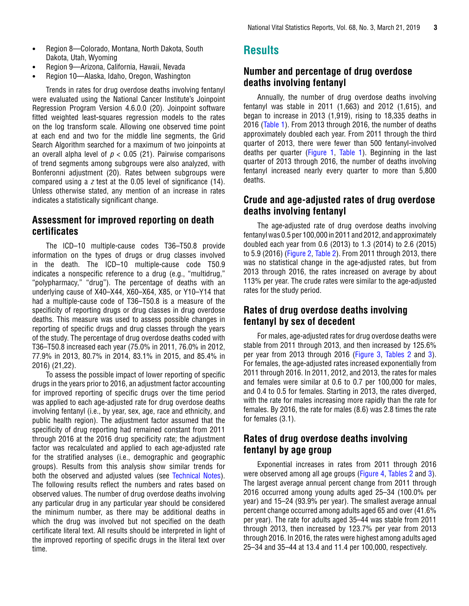- <span id="page-2-0"></span>• Region 8—Colorado, Montana, North Dakota, South Dakota, Utah, Wyoming
- Region 9—Arizona, California, Hawaii, Nevada
- Region 10—Alaska, Idaho, Oregon, Washington

Trends in rates for drug overdose deaths involving fentanyl were evaluated using the National Cancer Institute's Joinpoint Regression Program Version 4.6.0.0 (20). Joinpoint software fitted weighted least-squares regression models to the rates on the log transform scale. Allowing one observed time point at each end and two for the middle line segments, the Grid Search Algorithm searched for a maximum of two joinpoints at an overall alpha level of  $p < 0.05$  (21). Pairwise comparisons of trend segments among subgroups were also analyzed, with Bonferonni adjustment (20). Rates between subgroups were compared using a *z* test at the 0.05 level of significance (14). Unless otherwise stated, any mention of an increase in rates indicates a statistically significant change.

## **Assessment for improved reporting on death certificates**

The ICD–10 multiple-cause codes T36–T50.8 provide information on the types of drugs or drug classes involved in the death. The ICD–10 multiple-cause code T50.9 indicates a nonspecific reference to a drug (e.g., "multidrug," "polypharmacy," "drug"). The percentage of deaths with an underlying cause of X40–X44, X60–X64, X85, or Y10–Y14 that had a multiple-cause code of T36–T50.8 is a measure of the specificity of reporting drugs or drug classes in drug overdose deaths. This measure was used to assess possible changes in reporting of specific drugs and drug classes through the years of the study. The percentage of drug overdose deaths coded with T36–T50.8 increased each year (75.0% in 2011, 76.0% in 2012, 77.9% in 2013, 80.7% in 2014, 83.1% in 2015, and 85.4% in 2016) (21,22).

To assess the possible impact of lower reporting of specific drugs in the years prior to 2016, an adjustment factor accounting for improved reporting of specific drugs over the time period was applied to each age-adjusted rate for drug overdose deaths involving fentanyl (i.e., by year, sex, age, race and ethnicity, and public health region). The adjustment factor assumed that the specificity of drug reporting had remained constant from 2011 through 2016 at the 2016 drug specificity rate; the adjustment factor was recalculated and applied to each age-adjusted rate for the stratified analyses (i.e., demographic and geographic groups). Results from this analysis show similar trends for both the observed and adjusted values (see [Technical Notes](#page-12-0)). The following results reflect the numbers and rates based on observed values. The number of drug overdose deaths involving any particular drug in any particular year should be considered the minimum number, as there may be additional deaths in which the drug was involved but not specified on the death certificate literal text. All results should be interpreted in light of the improved reporting of specific drugs in the literal text over time.

## **Results**

## **Number and percentage of drug overdose deaths involving fentanyl**

Annually, the number of drug overdose deaths involving fentanyl was stable in 2011 (1,663) and 2012 (1,615), and began to increase in 2013 (1,919), rising to 18,335 deaths in 2016 ([Table 1\)](#page-8-0). From 2013 through 2016, the number of deaths approximately doubled each year. From 2011 through the third quarter of 2013, there were fewer than 500 fentanyl-involved deaths per quarter [\(Figure 1](#page-3-0), [Table 1](#page-8-0)). Beginning in the last quarter of 2013 through 2016, the number of deaths involving fentanyl increased nearly every quarter to more than 5,800 deaths.

## **Crude and age-adjusted rates of drug overdose deaths involving fentanyl**

The age-adjusted rate of drug overdose deaths involving fentanyl was 0.5 per 100,000 in 2011 and 2012, and approximately doubled each year from 0.6 (2013) to 1.3 (2014) to 2.6 (2015) to 5.9 (2016) ([Figure 2,](#page-4-0) [Table 2\)](#page-9-0). From 2011 through 2013, there was no statistical change in the age-adjusted rates, but from 2013 through 2016, the rates increased on average by about 113% per year. The crude rates were similar to the age-adjusted rates for the study period.

## **Rates of drug overdose deaths involving fentanyl by sex of decedent**

For males, age-adjusted rates for drug overdose deaths were stable from 2011 through 2013, and then increased by 125.6% per year from 2013 through 2016 ([Figure 3,](#page-4-0) [Tables 2](#page-9-0) and [3\)](#page-11-0). For females, the age-adjusted rates increased exponentially from 2011 through 2016. In 2011, 2012, and 2013, the rates for males and females were similar at 0.6 to 0.7 per 100,000 for males, and 0.4 to 0.5 for females. Starting in 2013, the rates diverged, with the rate for males increasing more rapidly than the rate for females. By 2016, the rate for males (8.6) was 2.8 times the rate for females (3.1).

## **Rates of drug overdose deaths involving fentanyl by age group**

Exponential increases in rates from 2011 through 2016 were observed among all age groups ([Figure 4,](#page-5-0) [Tables 2 a](#page-9-0)nd [3\)](#page-11-0). The largest average annual percent change from 2011 through 2016 occurred among young adults aged 25–34 (100.0% per year) and 15–24 (93.9% per year). The smallest average annual percent change occurred among adults aged 65 and over (41.6% per year). The rate for adults aged 35–44 was stable from 2011 through 2013, then increased by 123.7% per year from 2013 through 2016. In 2016, the rates were highest among adults aged 25–34 and 35–44 at 13.4 and 11.4 per 100,000, respectively.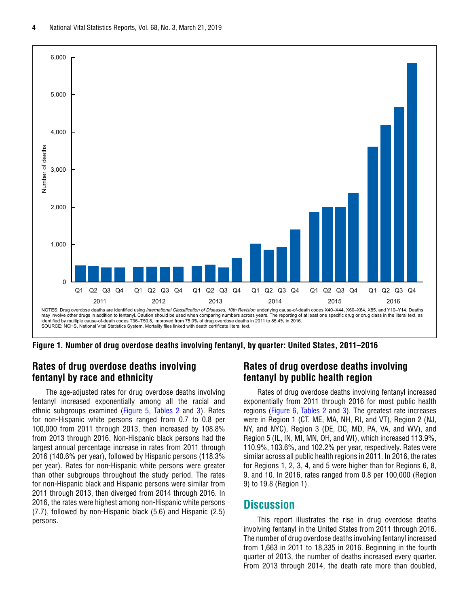<span id="page-3-0"></span>

**Figure 1. Number of drug overdose deaths involving fentanyl, by quarter: United States, 2011–2016**

#### **Rates of drug overdose deaths involving fentanyl by race and ethnicity**

The age-adjusted rates for drug overdose deaths involving fentanyl increased exponentially among all the racial and ethnic subgroups examined [\(Figure 5,](#page-5-0) [Tables 2](#page-9-0) and [3\)](#page-11-0). Rates for non-Hispanic white persons ranged from 0.7 to 0.8 per 100,000 from 2011 through 2013, then increased by 108.8% from 2013 through 2016. Non-Hispanic black persons had the largest annual percentage increase in rates from 2011 through 2016 (140.6% per year), followed by Hispanic persons (118.3% per year). Rates for non-Hispanic white persons were greater than other subgroups throughout the study period. The rates for non-Hispanic black and Hispanic persons were similar from 2011 through 2013, then diverged from 2014 through 2016. In 2016, the rates were highest among non-Hispanic white persons (7.7), followed by non-Hispanic black (5.6) and Hispanic (2.5) persons.

#### **Rates of drug overdose deaths involving fentanyl by public health region**

Rates of drug overdose deaths involving fentanyl increased exponentially from 2011 through 2016 for most public health regions ([Figure 6,](#page-6-0) [Tables 2](#page-9-0) and [3\)](#page-11-0). The greatest rate increases were in Region 1 (CT, ME, MA, NH, RI, and VT), Region 2 (NJ, NY, and NYC), Region 3 (DE, DC, MD, PA, VA, and WV), and Region 5 (IL, IN, MI, MN, OH, and WI), which increased 113.9%, 110.9%, 103.6%, and 102.2% per year, respectively. Rates were similar across all public health regions in 2011. In 2016, the rates for Regions 1, 2, 3, 4, and 5 were higher than for Regions 6, 8, 9, and 10. In 2016, rates ranged from 0.8 per 100,000 (Region 9) to 19.8 (Region 1).

#### **Discussion**

This report illustrates the rise in drug overdose deaths involving fentanyl in the United States from 2011 through 2016. The number of drug overdose deaths involving fentanyl increased from 1,663 in 2011 to 18,335 in 2016. Beginning in the fourth quarter of 2013, the number of deaths increased every quarter. From 2013 through 2014, the death rate more than doubled,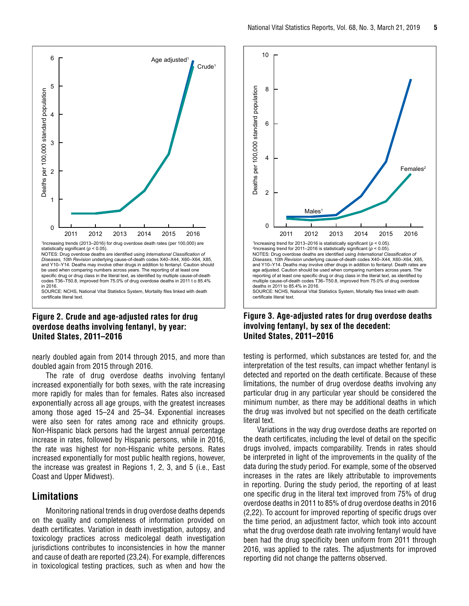<span id="page-4-0"></span>

#### **Figure 2. Crude and age-adjusted rates for drug overdose deaths involving fentanyl, by year: United States, 2011–2016**

nearly doubled again from 2014 through 2015, and more than doubled again from 2015 through 2016.

The rate of drug overdose deaths involving fentanyl increased exponentially for both sexes, with the rate increasing more rapidly for males than for females. Rates also increased exponentially across all age groups, with the greatest increases among those aged 15–24 and 25–34. Exponential increases were also seen for rates among race and ethnicity groups. Non-Hispanic black persons had the largest annual percentage increase in rates, followed by Hispanic persons, while in 2016, the rate was highest for non-Hispanic white persons. Rates increased exponentially for most public health regions, however, the increase was greatest in Regions 1, 2, 3, and 5 (i.e., East Coast and Upper Midwest).

#### **Limitations**

Monitoring national trends in drug overdose deaths depends on the quality and completeness of information provided on death certificates. Variation in death investigation, autopsy, and toxicology practices across medicolegal death investigation jurisdictions contributes to inconsistencies in how the manner and cause of death are reported (23,24). For example, differences in toxicological testing practices, such as when and how the



#### **Figure 3. Age-adjusted rates for drug overdose deaths involving fentanyl, by sex of the decedent: United States, 2011–2016**

testing is performed, which substances are tested for, and the interpretation of the test results, can impact whether fentanyl is detected and reported on the death certificate. Because of these limitations, the number of drug overdose deaths involving any particular drug in any particular year should be considered the minimum number, as there may be additional deaths in which the drug was involved but not specified on the death certificate literal text.

Variations in the way drug overdose deaths are reported on the death certificates, including the level of detail on the specific drugs involved, impacts comparability. Trends in rates should be interpreted in light of the improvements in the quality of the data during the study period. For example, some of the observed increases in the rates are likely attributable to improvements in reporting. During the study period, the reporting of at least one specific drug in the literal text improved from 75% of drug overdose deaths in 2011 to 85% of drug overdose deaths in 2016 (2,22). To account for improved reporting of specific drugs over the time period, an adjustment factor, which took into account what the drug overdose death rate involving fentanyl would have been had the drug specificity been uniform from 2011 through 2016, was applied to the rates. The adjustments for improved reporting did not change the patterns observed.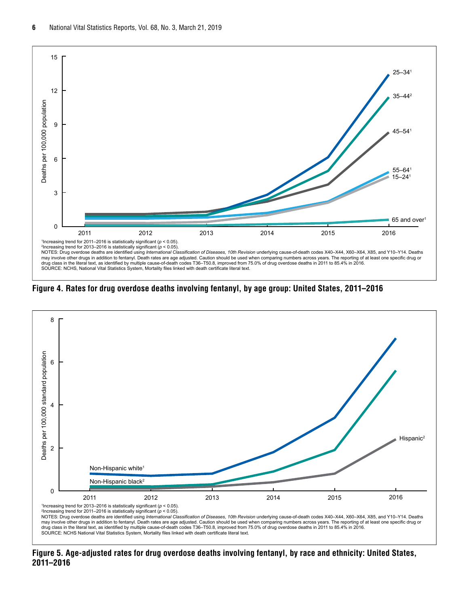<span id="page-5-0"></span>

**Figure 4. Rates for drug overdose deaths involving fentanyl, by age group: United States, 2011–2016**



**Figure 5. Age-adjusted rates for drug overdose deaths involving fentanyl, by race and ethnicity: United States, 2011–2016**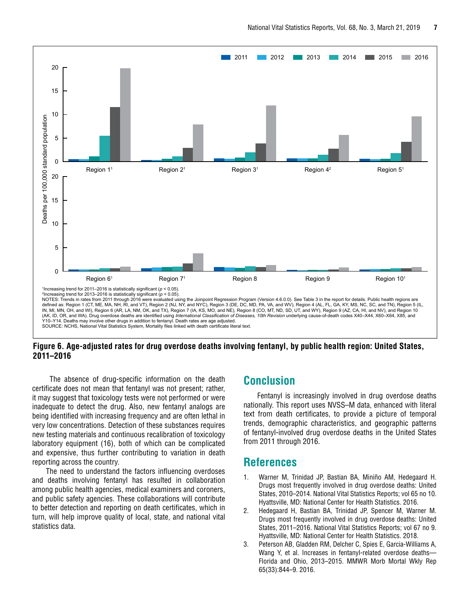<span id="page-6-0"></span>

**Figure 6. Age-adjusted rates for drug overdose deaths involving fentanyl, by public health region: United States, 2011–2016**

 The absence of drug-specific information on the death certificate does not mean that fentanyl was not present; rather, it may suggest that toxicology tests were not performed or were inadequate to detect the drug. Also, new fentanyl analogs are being identified with increasing frequency and are often lethal in very low concentrations. Detection of these substances requires new testing materials and continuous recalibration of toxicology laboratory equipment (16), both of which can be complicated and expensive, thus further contributing to variation in death reporting across the country.

The need to understand the factors influencing overdoses and deaths involving fentanyl has resulted in collaboration among public health agencies, medical examiners and coroners, and public safety agencies. These collaborations will contribute to better detection and reporting on death certificates, which in turn, will help improve quality of local, state, and national vital statistics data.

## **Conclusion**

Fentanyl is increasingly involved in drug overdose deaths nationally. This report uses NVSS–M data, enhanced with literal text from death certificates, to provide a picture of temporal trends, demographic characteristics, and geographic patterns of fentanyl-involved drug overdose deaths in the United States from 2011 through 2016.

#### **References**

- 1. Warner M, Trinidad JP, Bastian BA, Miniño AM, Hedegaard H. Drugs most frequently involved in drug overdose deaths: United States, 2010–2014. National Vital Statistics Reports; vol 65 no 10. Hyattsville, MD: National Center for Health Statistics. 2016.
- 2. Hedegaard H, Bastian BA, Trinidad JP, Spencer M, Warner M. Drugs most frequently involved in drug overdose deaths: United States, 2011–2016. National Vital Statistics Reports; vol 67 no 9. Hyattsville, MD: National Center for Health Statistics. 2018.
- 3. Peterson AB, Gladden RM, Delcher C, Spies E, Garcia-Williams A, Wang Y, et al. Increases in fentanyl-related overdose deaths-Florida and Ohio, 2013–2015. MMWR Morb Mortal Wkly Rep 65(33):844–9. 2016.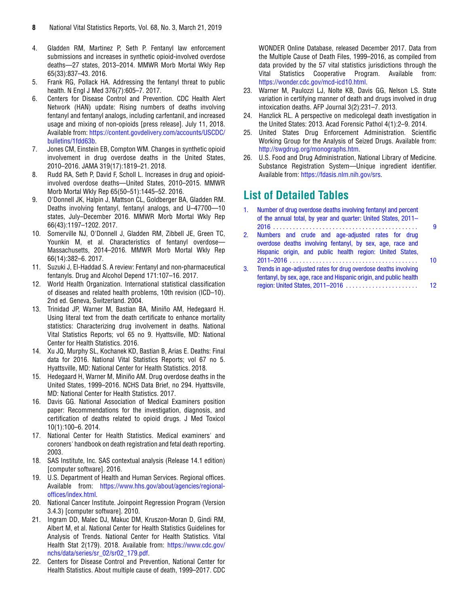- <span id="page-7-0"></span>4. Gladden RM, Martinez P, Seth P. Fentanyl law enforcement submissions and increases in synthetic opioid-involved overdose deaths—27 states, 2013–2014. MMWR Morb Mortal Wkly Rep 65(33):837–43. 2016.
- 5. Frank RG, Pollack HA. Addressing the fentanyl threat to public health. N Engl J Med 376(7):605–7. 2017.
- 6. Centers for Disease Control and Prevention. CDC Health Alert Network (HAN) update: Rising numbers of deaths involving fentanyl and fentanyl analogs, including carfentanil, and increased usage and mixing of non-opioids [press release]. July 11, 2018. Available from: [https://content.govdelivery.com/accounts/USCDC/](https://content.govdelivery.com/accounts/USCDC/bulletins/1fdd63b) [bulletins/1fdd63b.](https://content.govdelivery.com/accounts/USCDC/bulletins/1fdd63b)
- 7. Jones CM, Einstein EB, Compton WM. Changes in synthetic opioid involvement in drug overdose deaths in the United States, 2010–2016. JAMA 319(17):1819–21. 2018.
- 8. Rudd RA, Seth P, David F, Scholl L. Increases in drug and opioidinvolved overdose deaths—United States, 2010–2015. MMWR Morb Mortal Wkly Rep 65(50–51):1445–52. 2016.
- 9. O'Donnell JK, Halpin J, Mattson CL, Goldberger BA, Gladden RM. Deaths involving fentanyl, fentanyl analogs, and U–47700—10 states, July–December 2016. MMWR Morb Mortal Wkly Rep 66(43):1197–1202. 2017.
- 10. Somerville NJ, O'Donnell J, Gladden RM, Zibbell JE, Green TC, Younkin M, et al. Characteristics of fentanyl overdose— Massachusetts, 2014–2016. MMWR Morb Mortal Wkly Rep 66(14):382–6. 2017.
- 11. Suzuki J, El-Haddad S. A review: Fentanyl and non-pharmaceutical fentanyls. Drug and Alcohol Depend 171:107–16. 2017.
- 12. World Health Organization. International statistical classification of diseases and related health problems, 10th revision (ICD–10). 2nd ed. Geneva, Switzerland. 2004.
- 13. Trinidad JP, Warner M, Bastian BA, Miniño AM, Hedegaard H. Using literal text from the death certificate to enhance mortality statistics: Characterizing drug involvement in deaths. National Vital Statistics Reports; vol 65 no 9. Hyattsville, MD: National Center for Health Statistics. 2016.
- 14. Xu JQ, Murphy SL, Kochanek KD, Bastian B, Arias E. Deaths: Final data for 2016. National Vital Statistics Reports; vol 67 no 5. Hyattsville, MD: National Center for Health Statistics. 2018.
- 15. Hedegaard H, Warner M, Miniño AM. Drug overdose deaths in the United States, 1999–2016. NCHS Data Brief, no 294. Hyattsville, MD: National Center for Health Statistics. 2017.
- 16. Davis GG. National Association of Medical Examiners position paper: Recommendations for the investigation, diagnosis, and certification of deaths related to opioid drugs. J Med Toxicol 10(1):100–6. 2014.
- 17. National Center for Health Statistics. Medical examiners' and coroners' handbook on death registration and fetal death reporting. 2003.
- 18. SAS Institute, Inc. SAS contextual analysis (Release 14.1 edition) [computer software]. 2016.
- 19. U.S. Department of Health and Human Services. Regional offices. Available from: [https://www.hhs.gov/about/agencies/regional](https://www.hhs.gov/about/agencies/regional-offices/index.html)[offices/index.html](https://www.hhs.gov/about/agencies/regional-offices/index.html).
- 20. National Cancer Institute. Joinpoint Regression Program (Version 3.4.3) [computer software]. 2010.
- 21. Ingram DD, Malec DJ, Makuc DM, Kruszon-Moran D, Gindi RM, Albert M, et al. National Center for Health Statistics Guidelines for Analysis of Trends. National Center for Health Statistics. Vital Health Stat 2(179). 2018. Available from: [https://www.cdc.gov/](https://www.cdc.gov/nchs/data/series/sr_02/sr02_179.pdf) [nchs/data/series/sr\\_02/sr02\\_179.pdf](https://www.cdc.gov/nchs/data/series/sr_02/sr02_179.pdf).
- 22. Centers for Disease Control and Prevention, National Center for Health Statistics. About multiple cause of death, 1999–2017. CDC

WONDER Online Database, released December 2017. Data from the Multiple Cause of Death Files, 1999–2016, as compiled from data provided by the 57 vital statistics jurisdictions through the Vital Statistics Cooperative Program. Available from: [https://wonder.cdc.gov/mcd-icd10.html.](https://wonder.cdc.gov/mcd-icd10.html)

- 23. Warner M, Paulozzi LJ, Nolte KB, Davis GG, Nelson LS. State variation in certifying manner of death and drugs involved in drug intoxication deaths. AFP Journal 3(2):231–7. 2013.
- 24. Hanzlick RL. A perspective on medicolegal death investigation in the United States: 2013. Acad Forensic Pathol 4(1):2–9. 2014.
- 25. United States Drug Enforcement Administration. Scientific Working Group for the Analysis of Seized Drugs. Available from: <http://swgdrug.org/monographs.htm>.
- 26. U.S. Food and Drug Administration, National Library of Medicine. Substance Registration System—Unique ingredient identifier. Available from:<https://fdasis.nlm.nih.gov/srs>.

## **List of Detailed Tables**

| $\mathbf{1}$ . | Number of drug overdose deaths involving fentanyl and percent<br>of the annual total, by year and quarter: United States, 2011- |    |
|----------------|---------------------------------------------------------------------------------------------------------------------------------|----|
|                |                                                                                                                                 | 9  |
| 2.             | Numbers and crude and age-adjusted rates for drug<br>overdose deaths involving fentanyl, by sex, age, race and                  |    |
|                | Hispanic origin, and public health region: United States,                                                                       |    |
|                |                                                                                                                                 | 10 |
| 3.             | Trends in age-adjusted rates for drug overdose deaths involving                                                                 |    |
|                | fentanyl, by sex, age, race and Hispanic origin, and public health                                                              |    |
|                | region: United States, 2011-2016                                                                                                |    |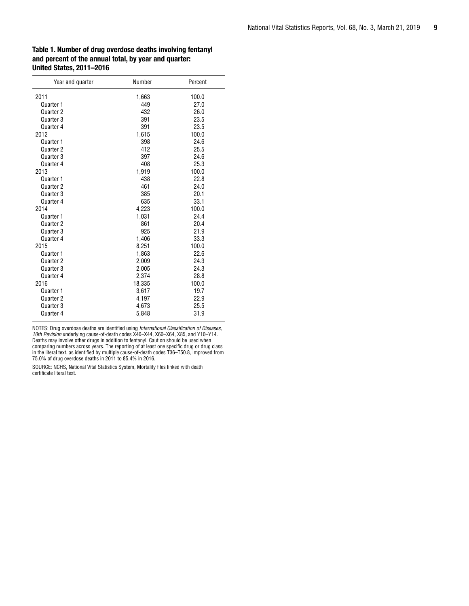#### <span id="page-8-0"></span>Table 1. Number of drug overdose deaths involving fentanyl and percent of the annual total, by year and quarter: United States, 2011–2016

| Year and quarter | Number | Percent |
|------------------|--------|---------|
| 2011             | 1,663  | 100.0   |
| Quarter 1        | 449    | 27.0    |
| Quarter 2        | 432    | 26.0    |
| Quarter 3        | 391    | 23.5    |
| Quarter 4        | 391    | 23.5    |
| 2012             | 1,615  | 100.0   |
| Quarter 1        | 398    | 24.6    |
| Quarter 2        | 412    | 25.5    |
| Quarter 3        | 397    | 24.6    |
| Quarter 4        | 408    | 25.3    |
| 2013             | 1,919  | 100.0   |
| Quarter 1        | 438    | 22.8    |
| Quarter 2        | 461    | 24.0    |
| Quarter 3        | 385    | 20.1    |
| Quarter 4        | 635    | 33.1    |
| 2014             | 4,223  | 100.0   |
| Quarter 1        | 1,031  | 24.4    |
| Quarter 2        | 861    | 20.4    |
| Quarter 3        | 925    | 21.9    |
| Quarter 4        | 1,406  | 33.3    |
| 2015             | 8,251  | 100.0   |
| Quarter 1        | 1,863  | 22.6    |
| Quarter 2        | 2,009  | 24.3    |
| Quarter 3        | 2,005  | 24.3    |
| Quarter 4        | 2,374  | 28.8    |
| 2016             | 18,335 | 100.0   |
| Quarter 1        | 3,617  | 19.7    |
| Quarter 2        | 4,197  | 22.9    |
| Quarter 3        | 4,673  | 25.5    |
| Quarter 4        | 5,848  | 31.9    |

NOTES: Drug overdose deaths are identified using *International Classification of Diseases, 10th Revision* underlying cause-of-death codes X40–X44, X60–X64, X85, and Y10–Y14. Deaths may involve other drugs in addition to fentanyl. Caution should be used when comparing numbers across years. The reporting of at least one specific drug or drug class in the literal text, as identified by multiple cause-of-death codes T36–T50.8, improved from 75.0% of drug overdose deaths in 2011 to 85.4% in 2016.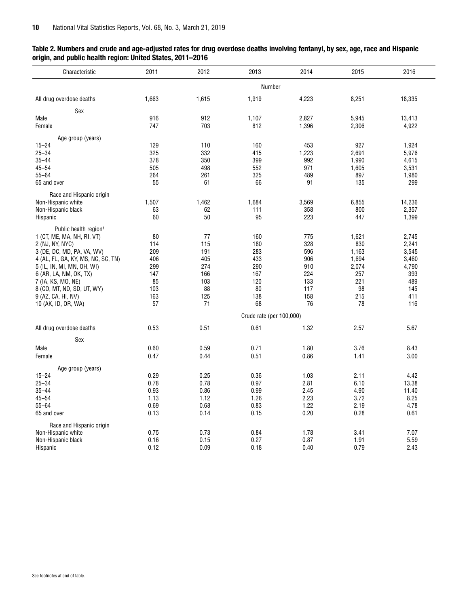<span id="page-9-0"></span>

| Table 2. Numbers and crude and age-adjusted rates for drug overdose deaths involving fentanyl, by sex, age, race and Hispanic |  |
|-------------------------------------------------------------------------------------------------------------------------------|--|
| origin, and public health region: United States, 2011-2016                                                                    |  |

| Characteristic                     | 2011  | 2012  |                          | 2014<br>2013 |       | 2016   |
|------------------------------------|-------|-------|--------------------------|--------------|-------|--------|
|                                    |       |       | Number                   |              |       |        |
| All drug overdose deaths           | 1,663 | 1,615 | 1,919                    | 4,223        | 8,251 | 18,335 |
| Sex                                |       |       |                          |              |       |        |
| Male                               | 916   | 912   | 1,107                    | 2,827        | 5,945 | 13,413 |
| Female                             | 747   | 703   | 812                      | 1,396        | 2,306 | 4,922  |
| Age group (years)                  |       |       |                          |              |       |        |
| $15 - 24$                          | 129   | 110   | 160                      | 453          | 927   | 1,924  |
| $25 - 34$                          | 325   | 332   | 415                      | 1,223        | 2,691 | 5,976  |
| $35 - 44$                          | 378   | 350   | 399                      | 992          | 1,990 | 4,615  |
| $45 - 54$                          | 505   | 498   | 552                      | 971          | 1,605 | 3,531  |
| $55 - 64$                          | 264   | 261   | 325                      | 489          | 897   | 1,980  |
| 65 and over                        | 55    | 61    | 66                       | 91           | 135   | 299    |
|                                    |       |       |                          |              |       |        |
| Race and Hispanic origin           |       |       |                          |              |       |        |
| Non-Hispanic white                 | 1,507 | 1,462 | 1,684                    | 3,569        | 6,855 | 14,236 |
| Non-Hispanic black                 | 63    | 62    | 111                      | 358          | 800   | 2,357  |
| Hispanic                           | 60    | 50    | 95                       | 223          | 447   | 1,399  |
| Public health region <sup>1</sup>  |       |       |                          |              |       |        |
| 1 (CT, ME, MA, NH, RI, VT)         | 80    | 77    | 160                      | 775          | 1,621 | 2,745  |
| 2 (NJ, NY, NYC)                    | 114   | 115   | 180                      | 328          | 830   | 2,241  |
|                                    | 209   | 191   | 283                      | 596          | 1,163 | 3,545  |
| 3 (DE, DC, MD, PA, VA, WV)         |       |       |                          |              |       |        |
| 4 (AL, FL, GA, KY, MS, NC, SC, TN) | 406   | 405   | 433                      | 906          | 1,694 | 3,460  |
| 5 (IL, IN, MI, MN, OH, WI)         | 299   | 274   | 290                      | 910          | 2,074 | 4,790  |
| 6 (AR, LA, NM, OK, TX)             | 147   | 166   | 167                      | 224          | 257   | 393    |
| 7 (IA, KS, MO, NE)                 | 85    | 103   | 120                      | 133          | 221   | 489    |
| 8 (CO, MT, ND, SD, UT, WY)         | 103   | 88    | 80                       | 117          | 98    | 145    |
| 9 (AZ, CA, HI, NV)                 | 163   | 125   | 138                      | 158          | 215   | 411    |
| 10 (AK, ID, OR, WA)                | 57    | 71    | 68                       | 76           | 78    | 116    |
|                                    |       |       | Crude rate (per 100,000) |              |       |        |
| All drug overdose deaths           | 0.53  | 0.51  | 0.61                     | 1.32         | 2.57  | 5.67   |
|                                    |       |       |                          |              |       |        |
| Sex                                |       |       |                          |              |       |        |
| Male                               | 0.60  | 0.59  | 0.71                     | 1.80         | 3.76  | 8.43   |
| Female                             | 0.47  | 0.44  | 0.51                     | 0.86         | 1.41  | 3.00   |
| Age group (years)                  |       |       |                          |              |       |        |
| $15 - 24$                          | 0.29  | 0.25  | 0.36                     | 1.03         | 2.11  | 4.42   |
| $25 - 34$                          | 0.78  | 0.78  | 0.97                     | 2.81         | 6.10  | 13.38  |
| $35 - 44$                          | 0.93  | 0.86  | 0.99                     | 2.45         | 4.90  | 11.40  |
| $45 - 54$                          | 1.13  | 1.12  | 1.26                     | 2.23         | 3.72  | 8.25   |
| $55 - 64$                          | 0.69  | 0.68  | 0.83                     | 1.22         | 2.19  | 4.78   |
|                                    |       |       |                          |              |       |        |
| 65 and over                        | 0.13  | 0.14  | 0.15                     | 0.20         | 0.28  | 0.61   |
| Race and Hispanic origin           |       |       |                          |              |       |        |
| Non-Hispanic white                 | 0.75  | 0.73  | 0.84                     | 1.78         | 3.41  | 7.07   |
| Non-Hispanic black                 | 0.16  | 0.15  | 0.27                     | 0.87         | 1.91  | 5.59   |
| Hispanic                           | 0.12  | 0.09  | 0.18                     | 0.40         | 0.79  | 2.43   |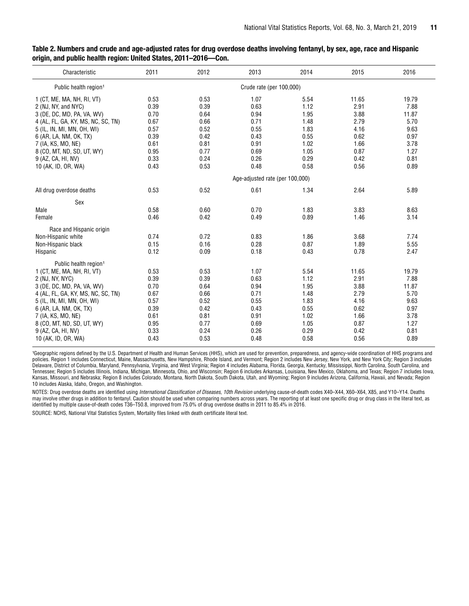| Characteristic                     | 2011 | 2012 | 2013                            | 2014 | 2015  | 2016  |
|------------------------------------|------|------|---------------------------------|------|-------|-------|
| Public health region <sup>1</sup>  |      |      | Crude rate (per 100,000)        |      |       |       |
| 1 (CT, ME, MA, NH, RI, VT)         | 0.53 | 0.53 | 1.07                            | 5.54 | 11.65 | 19.79 |
| 2 (NJ, NY, and NYC)                | 0.39 | 0.39 | 0.63                            | 1.12 | 2.91  | 7.88  |
| 3 (DE, DC, MD, PA, VA, WV)         | 0.70 | 0.64 | 0.94                            | 1.95 | 3.88  | 11.87 |
| 4 (AL, FL, GA, KY, MS, NC, SC, TN) | 0.67 | 0.66 | 0.71                            | 1.48 | 2.79  | 5.70  |
| 5 (IL, IN, MI, MN, OH, WI)         | 0.57 | 0.52 | 0.55                            | 1.83 | 4.16  | 9.63  |
| 6 (AR, LA, NM, OK, TX)             | 0.39 | 0.42 | 0.43                            | 0.55 | 0.62  | 0.97  |
| 7 (IA, KS, MO, NE)                 | 0.61 | 0.81 | 0.91                            | 1.02 | 1.66  | 3.78  |
| 8 (CO, MT, ND, SD, UT, WY)         | 0.95 | 0.77 | 0.69                            | 1.05 | 0.87  | 1.27  |
| 9 (AZ, CA, HI, NV)                 | 0.33 | 0.24 | 0.26                            | 0.29 | 0.42  | 0.81  |
| 10 (AK, ID, OR, WA)                | 0.43 | 0.53 | 0.48                            | 0.58 | 0.56  | 0.89  |
|                                    |      |      | Age-adjusted rate (per 100,000) |      |       |       |
| All drug overdose deaths           | 0.53 | 0.52 | 0.61                            | 1.34 | 2.64  | 5.89  |
| Sex                                |      |      |                                 |      |       |       |
| Male                               | 0.58 | 0.60 | 0.70                            | 1.83 | 3.83  | 8.63  |
| Female                             | 0.46 | 0.42 | 0.49                            | 0.89 | 1.46  | 3.14  |
| Race and Hispanic origin           |      |      |                                 |      |       |       |
| Non-Hispanic white                 | 0.74 | 0.72 | 0.83                            | 1.86 | 3.68  | 7.74  |
| Non-Hispanic black                 | 0.15 | 0.16 | 0.28                            | 0.87 | 1.89  | 5.55  |
| Hispanic                           | 0.12 | 0.09 | 0.18                            | 0.43 | 0.78  | 2.47  |
| Public health region <sup>1</sup>  |      |      |                                 |      |       |       |
| 1 (CT, ME, MA, NH, RI, VT)         | 0.53 | 0.53 | 1.07                            | 5.54 | 11.65 | 19.79 |
| 2 (NJ, NY, NYC)                    | 0.39 | 0.39 | 0.63                            | 1.12 | 2.91  | 7.88  |
| 3 (DE, DC, MD, PA, VA, WV)         | 0.70 | 0.64 | 0.94                            | 1.95 | 3.88  | 11.87 |
| 4 (AL, FL, GA, KY, MS, NC, SC, TN) | 0.67 | 0.66 | 0.71                            | 1.48 | 2.79  | 5.70  |
| 5 (IL, IN, MI, MN, OH, WI)         | 0.57 | 0.52 | 0.55                            | 1.83 | 4.16  | 9.63  |
| 6 (AR, LA, NM, OK, TX)             | 0.39 | 0.42 | 0.43                            | 0.55 | 0.62  | 0.97  |
| 7 (IA, KS, MO, NE)                 | 0.61 | 0.81 | 0.91                            | 1.02 | 1.66  | 3.78  |
| 8 (CO, MT, ND, SD, UT, WY)         | 0.95 | 0.77 | 0.69                            | 1.05 | 0.87  | 1.27  |
| 9 (AZ, CA, HI, NV)                 | 0.33 | 0.24 | 0.26                            | 0.29 | 0.42  | 0.81  |
| 10 (AK, ID, OR, WA)                | 0.43 | 0.53 | 0.48                            | 0.58 | 0.56  | 0.89  |

Table 2. Numbers and crude and age-adjusted rates for drug overdose deaths involving fentanyl, by sex, age, race and Hispanic origin, and public health region: United States, 2011–2016—Con.

<sup>1</sup>Geographic regions defined by the U.S. Department of Health and Human Services (HHS), which are used for prevention, preparedness, and agency-wide coordination of HHS programs and policies. Region 1 includes Connecticut, Maine, Massachusetts, New Hampshire, Rhode Island, and Vermont; Region 2 includes New Jersey, New York, and New York City; Region 3 includes Delaware, District of Columbia, Maryland, Pennsylvania, Virginia, and West Virginia; Region 4 includes Alabama, Florida, Georgia, Kentucky, Mississippi, North Carolina, South Carolina, and Tennessee; Region 5 includes Illinois, Indiana, Michigan, Minnesota, Ohio, and Wisconsin; Region 6 includes Arkansas, Louisiana, New Mexico, Oklahoma, and Texas; Region 7 includes Iowa, Kansas, Missouri, and Nebraska; Region 8 includes Colorado, Montana, North Dakota, South Dakota, Utah, and Wyoming; Region 9 includes Arizona, California, Hawaii, and Nevada; Region 10 includes Alaska, Idaho, Oregon, and Washington.

NOTES: Drug overdose deaths are identified using *International Classification of Diseases, 10th Revision* underlying cause-of-death codes X40–X44, X60–X64, X85, and Y10–Y14. Deaths may involve other drugs in addition to fentanyl. Caution should be used when comparing numbers across years. The reporting of at least one specific drug or drug class in the literal text, as identified by multiple cause-of-death codes T36–T50.8, improved from 75.0% of drug overdose deaths in 2011 to 85.4% in 2016.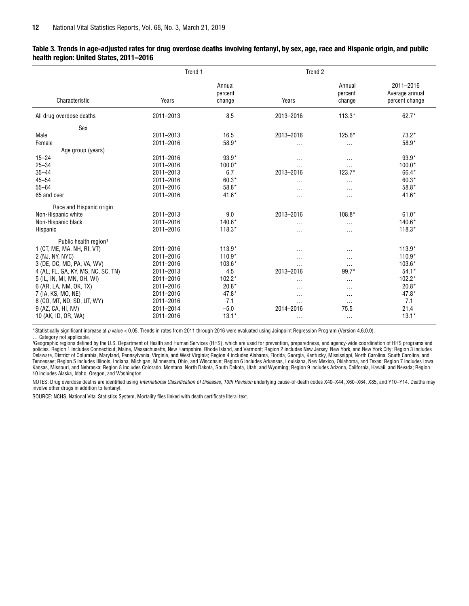|                                    | Trend 1   |                             | Trend 2   |                             |                                               |  |
|------------------------------------|-----------|-----------------------------|-----------|-----------------------------|-----------------------------------------------|--|
| Characteristic                     | Years     | Annual<br>percent<br>change | Years     | Annual<br>percent<br>change | 2011-2016<br>Average annual<br>percent change |  |
| All drug overdose deaths           | 2011-2013 | 8.5                         | 2013-2016 | $113.3*$                    | $62.7*$                                       |  |
| Sex                                |           |                             |           |                             |                                               |  |
| Male                               | 2011-2013 | 16.5                        | 2013-2016 | 125.6*                      | $73.2*$                                       |  |
| Female                             | 2011-2016 | 58.9*                       | $\cdots$  | $\cdots$                    | 58.9*                                         |  |
| Age group (years)                  |           |                             |           |                             |                                               |  |
| $15 - 24$                          | 2011-2016 | $93.9*$                     | $\cdots$  | $\cdots$                    | $93.9*$                                       |  |
| $25 - 34$                          | 2011-2016 | $100.0*$                    | $\cdot$   | $\cdots$                    | $100.0*$                                      |  |
| $35 - 44$                          | 2011-2013 | 6.7                         | 2013-2016 | $123.7*$                    | 66.4*                                         |  |
| $45 - 54$                          | 2011-2016 | $60.3*$                     | $\cdots$  | $\cdots$                    | $60.3*$                                       |  |
| $55 - 64$                          | 2011-2016 | $58.8*$                     | .         | $\cdots$                    | 58.8*                                         |  |
| 65 and over                        | 2011-2016 | $41.6*$                     | $\cdots$  | $\sim$ $\sim$               | $41.6*$                                       |  |
| Race and Hispanic origin           |           |                             |           |                             |                                               |  |
| Non-Hispanic white                 | 2011-2013 | 9.0                         | 2013-2016 | 108.8*                      | $61.0*$                                       |  |
| Non-Hispanic black                 | 2011-2016 | 140.6*                      | $\cdots$  | $\cdots$                    | 140.6*                                        |  |
| Hispanic                           | 2011-2016 | $118.3*$                    | $\cdots$  | $\cdots$                    | $118.3*$                                      |  |
| Public health region <sup>1</sup>  |           |                             |           |                             |                                               |  |
| 1 (CT, ME, MA, NH, RI, VT)         | 2011-2016 | $113.9*$                    | $\cdots$  | .                           | $113.9*$                                      |  |
| 2 (NJ, NY, NYC)                    | 2011-2016 | $110.9*$                    | $\cdots$  | $\cdots$                    | $110.9*$                                      |  |
| 3 (DE, DC, MD, PA, VA, WV)         | 2011-2016 | 103.6*                      | $\ddotsc$ | $\cdots$                    | $103.6*$                                      |  |
| 4 (AL, FL, GA, KY, MS, NC, SC, TN) | 2011-2013 | 4.5                         | 2013-2016 | 99.7*                       | $54.1*$                                       |  |
| 5 (IL, IN, MI, MN, OH, WI)         | 2011-2016 | $102.2*$                    | .         | $\cdots$                    | $102.2*$                                      |  |
| 6 (AR, LA, NM, OK, TX)             | 2011-2016 | $20.8*$                     | $\cdots$  | $\cdots$                    | $20.8*$                                       |  |
| 7 (IA, KS, MO, NE)                 | 2011-2016 | $47.8*$                     | $\cdots$  | $\cdots$                    | 47.8*                                         |  |
| 8 (CO, MT, ND, SD, UT, WY)         | 2011-2016 | 7.1                         | $\ddotsc$ | $\cdots$                    | 7.1                                           |  |
| 9 (AZ, CA, HI, NV)                 | 2011-2014 | $-5.0$                      | 2014-2016 | 75.5                        | 21.4                                          |  |
| 10 (AK, ID, OR, WA)                | 2011-2016 | $13.1*$                     | $\cdots$  | $\sim$                      | $13.1*$                                       |  |

#### <span id="page-11-0"></span>Table 3. Trends in age-adjusted rates for drug overdose deaths involving fentanyl, by sex, age, race and Hispanic origin, and public health region: United States, 2011–2016

\*Statistically significant increase at *p* value < 0.05. Trends in rates from 2011 through 2016 were evaluated using Joinpoint Regression Program (Version 4.6.0.0). … Category not applicable.

<sup>1</sup>Geographic regions defined by the U.S. Department of Health and Human Services (HHS), which are used for prevention, preparedness, and agency-wide coordination of HHS programs and policies. Region 1 includes Connecticut, Maine, Massachusetts, New Hampshire, Rhode Island, and Vermont; Region 2 includes New Jersey, New York, and New York City; Region 3 includes Delaware, District of Columbia, Maryland, Pennsylvania, Virginia, and West Virginia; Region 4 includes Alabama, Florida, Georgia, Kentucky, Mississippi, North Carolina, South Carolina, and Tennessee; Region 5 includes Illinois, Indiana, Michigan, Minnesota, Ohio, and Wisconsin; Region 6 includes Arkansas, Louisiana, New Mexico, Oklahoma, and Texas; Region 7 includes Iowa, Kansas, Missouri, and Nebraska; Region 8 includes Colorado, Montana, North Dakota, South Dakota, Utah, and Wyoming; Region 9 includes Arizona, California, Hawaii, and Nevada; Region 10 includes Alaska, Idaho, Oregon, and Washington.

NOTES: Drug overdose deaths are identified using *International Classification of Diseases, 10th Revision* underlying cause-of-death codes X40–X44, X60–X64, X85, and Y10–Y14. Deaths may involve other drugs in addition to fentanyl.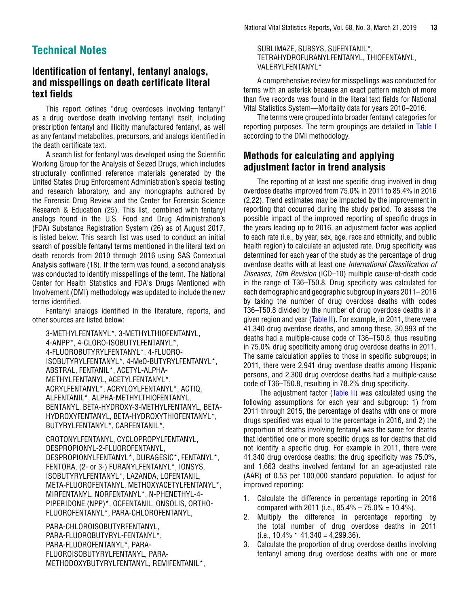## <span id="page-12-0"></span>**Technical Notes**

#### **Identification of fentanyl, fentanyl analogs, and misspellings on death certificate literal text fields**

This report defines "drug overdoses involving fentanyl" as a drug overdose death involving fentanyl itself, including prescription fentanyl and illicitly manufactured fentanyl, as well as any fentanyl metabolites, precursors, and analogs identified in the death certificate text.

A search list for fentanyl was developed using the Scientific Working Group for the Analysis of Seized Drugs, which includes structurally confirmed reference materials generated by the United States Drug Enforcement Administration's special testing and research laboratory, and any monographs authored by the Forensic Drug Review and the Center for Forensic Science Research & Education (25). This list, combined with fentanyl analogs found in the U.S. Food and Drug Administration's (FDA) Substance Registration System (26) as of August 2017, is listed below. This search list was used to conduct an initial search of possible fentanyl terms mentioned in the literal text on death records from 2010 through 2016 using SAS Contextual Analysis software (18). If the term was found, a second analysis was conducted to identify misspellings of the term. The National Center for Health Statistics and FDA's Drugs Mentioned with Involvement (DMI) methodology was updated to include the new terms identified.

Fentanyl analogs identified in the literature, reports, and other sources are listed below:

3-METHYLFENTANYL\*, 3-METHYLTHIOFENTANYL, 4-ANPP\*, 4-CLORO-ISOBUTYLFENTANYL\*, 4-FLUOROBUTYRYLFENTANYL\*, 4-FLUORO-ISOBUTYRYLFENTANYL\*, 4-MeO-BUTYRYLFENTANYL\*, ABSTRAL, FENTANIL\*, ACETYL-ALPHA-METHYLFENTANYL, ACETYLFENTANYL\*, ACRYLFENTANYL\*, ACRYLOYLFENTANYL\*, ACTIQ, ALFENTANIL\*, ALPHA-METHYLTHIOFENTANYL, BENTANYL, BETA-HYDROXY-3-METHYLFENTANYL, BETA-HYDROXYFENTANYL, BETA-HYDROXYTHIOFENTANYL\*, BUTYRYLFENTANYL\*, CARFENTANIL\*,

CROTONYLFENTANYL, CYCLOPROPYLFENTANYL, DESPROPIONYL-2-FLUOROFENTANYL, DESPROPIONYLFENTANYL\*, DURAGESIC\*, FENTANYL\*, FENTORA, (2- or 3-) FURANYLFENTANYL\*, IONSYS, ISOBUTYRYLFENTANYL\*, LAZANDA, LOFENTANIL, META-FLUOROFENTANYL, METHOXYACETYLFENTANYL\*, MIRFENTANYL, NORFENTANYL\*, N-PHENETHYL-4- PIPERIDONE (NPP)\*, OCFENTANIL, ONSOLIS, ORTHO-FLUOROFENTANYL\*, PARA-CHLOROFENTANYL,

PARA-CHLOROISOBUTYRFENTANYL, PARA-FLUOROBUTYRYL-FENTANYL\*, PARA-FLUOROFENTANYL\*, PARA-FLUOROISOBUTYRYLFENTANYL, PARA-METHODOXYBUTYRYLFENTANYL, REMIFENTANIL\*,

#### SUBLIMAZE, SUBSYS, SUFENTANIL\*, TETRAHYDROFURANYLFENTANYL, THIOFENTANYL, VALERYLFENTANYL\*

A comprehensive review for misspellings was conducted for terms with an asterisk because an exact pattern match of more than five records was found in the literal text fields for National Vital Statistics System—Mortality data for years 2010–2016.

The terms were grouped into broader fentanyl categories for reporting purposes. The term groupings are detailed in [Table I](#page-14-0) according to the DMI methodology.

#### **Methods for calculating and applying adjustment factor in trend analysis**

The reporting of at least one specific drug involved in drug overdose deaths improved from 75.0% in 2011 to 85.4% in 2016 (2,22). Trend estimates may be impacted by the improvement in reporting that occurred during the study period. To assess the possible impact of the improved reporting of specific drugs in the years leading up to 2016, an adjustment factor was applied to each rate (i.e., by year, sex, age, race and ethnicity, and public health region) to calculate an adjusted rate. Drug specificity was determined for each year of the study as the percentage of drug overdose deaths with at least one *International Classification of Diseases, 10th Revision* (ICD–10) multiple cause-of-death code in the range of T36–T50.8. Drug specificity was calculated for each demographic and geographic subgroup in years 2011– 2016 by taking the number of drug overdose deaths with codes T36–T50.8 divided by the number of drug overdose deaths in a given region and year [\(Table II\)](#page-16-0). For example, in 2011, there were 41,340 drug overdose deaths, and among these, 30,993 of the deaths had a multiple-cause code of T36–T50.8, thus resulting in 75.0% drug specificity among drug overdose deaths in 2011. The same calculation applies to those in specific subgroups; in 2011, there were 2,941 drug overdose deaths among Hispanic persons, and 2,300 drug overdose deaths had a multiple-cause code of T36–T50.8, resulting in 78.2% drug specificity.

 The adjustment factor [\(Table II\)](#page-16-0) was calculated using the following assumptions for each year and subgroup: 1) from 2011 through 2015, the percentage of deaths with one or more drugs specified was equal to the percentage in 2016, and 2) the proportion of deaths involving fentanyl was the same for deaths that identified one or more specific drugs as for deaths that did not identify a specific drug. For example in 2011, there were 41,340 drug overdose deaths; the drug specificity was 75.0%, and 1,663 deaths involved fentanyl for an age-adjusted rate (AAR) of 0.53 per 100,000 standard population. To adjust for improved reporting:

- 1. Calculate the difference in percentage reporting in 2016 compared with 2011 (i.e.,  $85.4\% - 75.0\% = 10.4\%$ ).
- 2. Multiply the difference in percentage reporting by the total number of drug overdose deaths in 2011  $(i.e., 10.4\% \cdot 41.340 = 4.299.36).$
- 3. Calculate the proportion of drug overdose deaths involving fentanyl among drug overdose deaths with one or more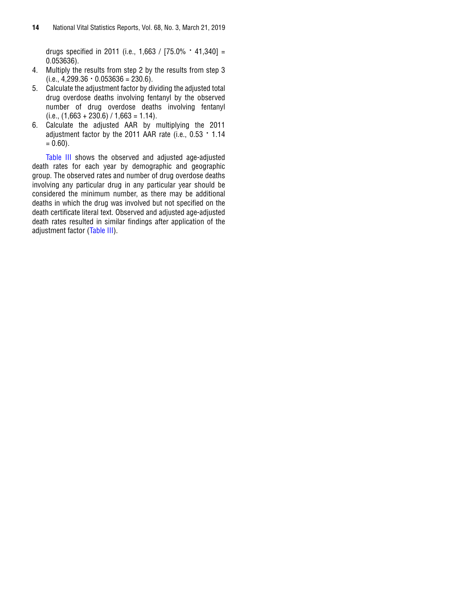drugs specified in 2011 (i.e., 1,663 / [75.0% ∙ 41,340] = 0.053636).

- 4. Multiply the results from step 2 by the results from step 3  $(i.e., 4,299.36 \cdot 0.053636 = 230.6).$
- 5. Calculate the adjustment factor by dividing the adjusted total drug overdose deaths involving fentanyl by the observed number of drug overdose deaths involving fentanyl  $(i.e., (1,663 + 230.6) / 1,663 = 1.14).$
- 6. Calculate the adjusted AAR by multiplying the 2011 adjustment factor by the 2011 AAR rate (i.e., 0.53 ∙ 1.14  $= 0.60$ ).

[Table III](#page-17-0) shows the observed and adjusted age-adjusted death rates for each year by demographic and geographic group. The observed rates and number of drug overdose deaths involving any particular drug in any particular year should be considered the minimum number, as there may be additional deaths in which the drug was involved but not specified on the death certificate literal text. Observed and adjusted age-adjusted death rates resulted in similar findings after application of the adjustment factor [\(Table III\)](#page-17-0).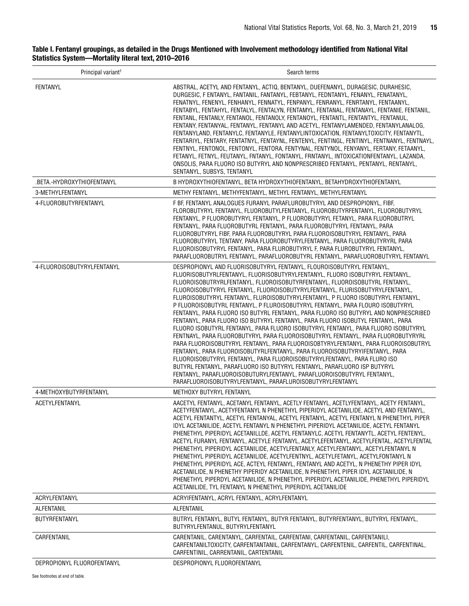#### <span id="page-14-0"></span>Table I. Fentanyl groupings, as detailed in the Drugs Mentioned with Involvement methodology identified from National Vital Statistics System—Mortality literal text, 2010–2016

| Principal variant <sup>1</sup> | Search terms                                                                                                                                                                                                                                                                                                                                                                                                                                                                                                                                                                                                                                                                                                                                                                                                                                                                                                                                                                                                                                                                                                                                                                                                                                                                                                        |
|--------------------------------|---------------------------------------------------------------------------------------------------------------------------------------------------------------------------------------------------------------------------------------------------------------------------------------------------------------------------------------------------------------------------------------------------------------------------------------------------------------------------------------------------------------------------------------------------------------------------------------------------------------------------------------------------------------------------------------------------------------------------------------------------------------------------------------------------------------------------------------------------------------------------------------------------------------------------------------------------------------------------------------------------------------------------------------------------------------------------------------------------------------------------------------------------------------------------------------------------------------------------------------------------------------------------------------------------------------------|
| <b>FENTANYL</b>                | ABSTRAL, ACETYL AND FENTANYL, ACTIQ, BENTANYL, DUEFENANYL, DURAGESIC, DURAHESIC,<br>DURGESIC, F ENTANYL, FANTANIL, FANTANYL, FEBTANYL, FEDNTANYL, FENANYL, FENATANYL,<br>FENATNYL, FENENYL, FENHANYL, FENNATYL, FENPANYL, FENRANYL, FENRTANYL, FENTAANYL,<br>FENTABYL, FENTAHYL, FENTALYL, FENTALYN, FENTAMYL, FENTANAL, FENTANAYL, FENTANIE, FENTANIL,<br>FENTANL, FENTANLY, FENTANOL, FENTANOLY, FENTANOYL, FENTANTL, FENTANTYL, FENTANUL,<br>FENTANY, FENTANYAL, FENTANYL, FENTANYL AND ACETYL, FENTANYLAMENDED, FENTANYLANALOG,<br>FENTANYLAND, FENTANYLC, FENTANYLE, FENTANYLINTOXICATION, FENTANYLTOXICITY, FENTANYTL,<br>FENTARIYL, FENTARY, FENTATNYL, FENTAYNL, FENTENYL, FENTINGL, FENTINYL, FENTNANYL, FENTNAYL,<br>FENTNYL, FENTONOL, FENTONYL, FENTORA, FENTYNAL, FENTYNOL, FENYANYL, FERTANY, FETAANYL,<br>FETANYL, FETNYL, FEUTANYL, FNTANYL, FONTANYL, FRNTANYL, INTOXICATIONFENTANYL, LAZANDA,<br>ONSOLIS, PARA FLUORO ISO BUTYRYL AND NONPRESCRIBED FENTANYL, PENTANYL, RENTANYL,<br>SENTANYL, SUBSYS, TENTANYL                                                                                                                                                                                                                                                                                   |
| .BETA.-HYDROXYTHIOFENTANYL     | B HYDROXYTHIOFENTANYL, BETA HYDROXYTHIOFENTANYL, BETAHYDROXYTHIOFENTANYL                                                                                                                                                                                                                                                                                                                                                                                                                                                                                                                                                                                                                                                                                                                                                                                                                                                                                                                                                                                                                                                                                                                                                                                                                                            |
| 3-METHYLFENTANYL               | METHY FENTANYL, METHYFENTANYL, METHYL FENTANYL, METHYLFENTANYL                                                                                                                                                                                                                                                                                                                                                                                                                                                                                                                                                                                                                                                                                                                                                                                                                                                                                                                                                                                                                                                                                                                                                                                                                                                      |
| 4-FLUOROBUTYRFENTANYL          | F BF, FENTANYL ANALOGUES FURANYL PARAFLUROBUTYRYL AND DESPROPIONYL, FIBF,<br>FLOROBUTYRYL FENTANYL, FLUOROBUTYLFENTANYL, FLUOROBUTYRFENTANYL, FLUOROBUTYRYL<br>FENTANYL, P FLUOROBUTYRYL FENTANYL, P FLUOROBUTYRYL FETANYL, PARA FLUOROBUTRYL<br>FENTANYL, PARA FLUOROBUTYRL FENTANYL, PARA FLUOROBUTYRYL FENTANYL, PARA<br>FLUOROBUTYRYL FIBF, PARA FLUOROBUTYRYL PARA FLUOROISOBUTYRYL FENTANYL, PARA<br>FLUOROBUTYRYL TENTANY, PARA FLUOROBUTYRYLFENTANYL, PARA FLUOROBUTYRYRL PARA<br>FLUOROISOBUTYRYL FENTANYL, PARA FLUROBUTYRYL F, PARA FLUROBUTYRYL FENTANYL,<br>PARAFLUOROBUTRYL FENTANYL, PARAFLUOROBUTYRL FENTANYL, PARAFLUOROBUTYRYL FENTANYL                                                                                                                                                                                                                                                                                                                                                                                                                                                                                                                                                                                                                                                           |
| 4-FLUOROISOBUTYRYLFENTANYL     | DESPROPIONYL AND FLUORISOBUTYRYL FENTANYL, FLOUROISOBUTYRYL FENTANYL,<br>FLUORISOBUTYRLFENTANYL, FLUORISOBUTYRYLFENTANYL, FLUORO ISOBUTYRYL FENTANYL,<br>FLUOROISOBUTRYRLFENTANYL, FLUOROISOBUTYRFENTANYL, FLUOROISOBUTYRL FENTANYL,<br>FLUOROISOBUTYRYL FENTANYL, FLUOROISOBUTYRYLFENTANYL, FLURISOBUTYRYLFENTANYL,<br>FLUROISOBUTYRYL FENTANYL, FLUROISOBUTYRYLFENTANYL, P FLUORO ISOBUTYRYL FENTANYL,<br>P FLUOROISOBUTYRL FENTANYL, P FLUROISOBUTYRYL FENTANYL, PARA FLOURO ISOBUTYRYL<br>FENTANYL, PARA FLUORO ISO BUTYRL FENTANYL, PARA FLUORO ISO BUTYRYL AND NONPRESCRIBED<br>FENTANYL, PARA FLUORO ISO BUTYRYL FENTANYL, PARA FLUORO ISOBUTYL FENTANYL, PARA<br>FLUORO ISOBUTYRL FENTANYL, PARA FLUORO ISOBUTYRYL FENTANYL, PARA FLUORO ISOBUTYRYL<br>FENTNAYL, PARA FLUOROBUTYRYL PARA FLUOROISOBUTYRYL FENTANYL, PARA FLUOROBUTYRYRL<br>PARA FLUOROISOBUTYRYL FENTANYL, PARA FLUOROISOBTYRYLFENTANYL, PARA FLUOROISOBUTRYL<br>FENTANYL, PARA FLUOROISOBUTYRLFENTANYL, PARA FLUOROISOBUTYRYIFENTANYL, PARA<br>FLUOROISOBUTYRYL FENTANYL, PARA FLUOROISOBUTYRYLFENTANYL, PARA FLURO ISO<br>BUTYRL FENTANYL, PARAFLUORO ISO BUTYRYL FENTANYL, PARAFLUORO ISP BUTYRYL<br>FENTANYL, PARAFLUOROISOBUTURYLFENTANYL, PARAFLUOROISOBUTYRYL FENTANYL,<br>PARAFLUOROISOBUTYRYLFENTANYL, PARAFLUROISOBUTYRYLFENTANYL |
| 4-METHOXYBUTYRFENTANYL         | METHOXY BUTYRYL FENTANYL                                                                                                                                                                                                                                                                                                                                                                                                                                                                                                                                                                                                                                                                                                                                                                                                                                                                                                                                                                                                                                                                                                                                                                                                                                                                                            |
| <b>ACETYLFENTANYL</b>          | AACETYL FENTANYL, ACETANYL FENTANYL, ACETLY FENTANYL, ACETLYFENTANYL, ACETY FENTANYL,<br>ACETYFENTANYL, ACETYFENTANYL N PHENETHYL PIPERIDYL ACETANILIDE, ACETYL AND FENTANYL<br>ACETYL FENTANTYL, ACETYL FENTANYAL, ACETYL FENTANYL, ACETYL FENTANYL N PHENETHYL PIPER<br>IDYL ACETANILIDE. ACETYL FENTANYL N PHENETHYL PIPERIDYL ACETANILIDE. ACETYL FENTANYL<br>PHENETHYL PIPERIDYL ACETANILLDE, ACETYL FENTANYLC, ACETYL FENTANYTL, ACETYL FENTENYL,<br>ACETYL FURANYL FENTANYL, ACETYLE FENTANYL, ACETYLEFENTANYL, ACETYLFENTAL, ACETYLFENTAL<br>PHENETHYL PIPERIDYL ACETANILIDE, ACETYLFENTANLY, ACETYLFENTANYL, ACETYLFENTANYL N<br>PHENETHYL PIPERIDYL ACETANILIDE, ACETYLFENTNYL, ACETYLFETANYL, ACETYLFONTANYL N<br>PHENETHYL PIPERIDYL ACE, ACTEYL FENTANYL, FENTANYL AND ACETYL, N PHENETHY PIPER IDYL<br>ACETANILIDE, N PHENETHY PIPERIDY ACETANILIDE, N PHENETHYL PIPER IDYL ACETANILIDE, N<br>PHENETHYL PIPERDYL ACETANILIDE, N PHENETHYL PIPERIDYL ACETANILIDE, PHENETHYL PIPERIDYL<br>ACETANILIDE, TYL FENTANYL N PHENETHYL PIPERIDYL ACETANILIDE                                                                                                                                                                                                                                                   |
| ACRYLFENTANYL                  | ACRYIFENTANYL, ACRYL FENTANYL, ACRYLFENTANYL                                                                                                                                                                                                                                                                                                                                                                                                                                                                                                                                                                                                                                                                                                                                                                                                                                                                                                                                                                                                                                                                                                                                                                                                                                                                        |
| ALFENTANIL                     | ALFENTANIL                                                                                                                                                                                                                                                                                                                                                                                                                                                                                                                                                                                                                                                                                                                                                                                                                                                                                                                                                                                                                                                                                                                                                                                                                                                                                                          |
| BUTYRFENTANYL                  | BUTRYL FENTANYL, BUTYL FENTANYL, BUTYR FENTANYL, BUTYRFENTANYL, BUTYRYL FENTANYL,<br>BUTYRYLFENTANUL, BUTYRYLFENTANYL                                                                                                                                                                                                                                                                                                                                                                                                                                                                                                                                                                                                                                                                                                                                                                                                                                                                                                                                                                                                                                                                                                                                                                                               |
| CARFENTANIL                    | CARENTANIL, CARENTANYL, CARFENTAIL, CARFENTANI, CARFENTANIL, CARFENTANILI,<br>CARFENTANILTOXICITY, CARFENTANTANIL, CARFENTANYL, CARFENTENIL, CARFENTIL, CARFENTINAL,<br>CARFENTINIL, CARRENTANIL, CARTENTANIL                                                                                                                                                                                                                                                                                                                                                                                                                                                                                                                                                                                                                                                                                                                                                                                                                                                                                                                                                                                                                                                                                                       |
| DEPROPIONYL FLUOROFENTANYL     | DESPROPIONYL FLUOROFENTANYL                                                                                                                                                                                                                                                                                                                                                                                                                                                                                                                                                                                                                                                                                                                                                                                                                                                                                                                                                                                                                                                                                                                                                                                                                                                                                         |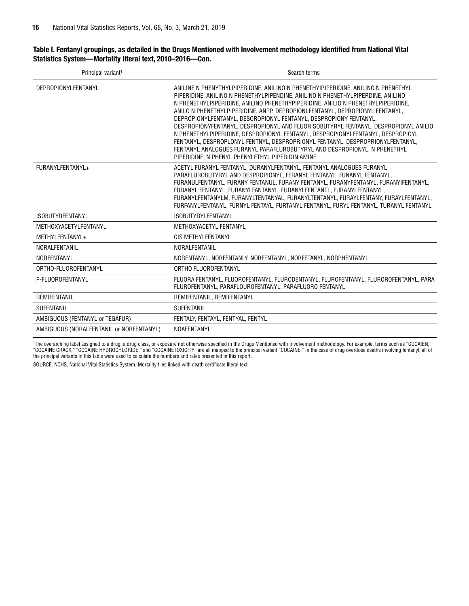#### Table I. Fentanyl groupings, as detailed in the Drugs Mentioned with Involvement methodology identified from National Vital Statistics System—Mortality literal text, 2010–2016—Con.

| Principal variant <sup>1</sup>           | Search terms                                                                                                                                                                                                                                                                                                                                                                                                                                                                                                                                                                                                                                                                                                                                                                                               |
|------------------------------------------|------------------------------------------------------------------------------------------------------------------------------------------------------------------------------------------------------------------------------------------------------------------------------------------------------------------------------------------------------------------------------------------------------------------------------------------------------------------------------------------------------------------------------------------------------------------------------------------------------------------------------------------------------------------------------------------------------------------------------------------------------------------------------------------------------------|
| <b>DEPROPIONYLFENTANYL</b>               | ANILINE N PHENYTHYLPIPERIDINE. ANILINO N PHENETHYIPIPERIDINE. ANILINO N PHENETHYL<br>PIPERIDINE, ANILINO N PHENETHYLPIPENDINE, ANILINO N PHENETHYLPIPERDINE, ANILINO<br>N PHENETHYLPIPERIDINE, ANILINO PHENETHYPIPERIDINE, ANILIO N PHENETHYLPIPERIDINE,<br>ANILO N PHENETHYLPIPERIDINE, ANPP. DEPROPIONLFENTANYL, DEPROPIONYL FENTANYL.<br>DEPROPIONYLFENTANYL, DESOROPIONYL FENTANYL, DESPROPIONY FENTANYL,<br>DESPROPIONYFENTANYL, DESPROPIONYL AND FLUORISOBUTYRYL FENTANYL, DESPROPIONYL ANILIO<br>N PHENETHYLPIPERIDINE, DESPROPIONYL FENTANYL, DESPROPIONYLFENTANYL, DESPROPIOYL<br>FENTANYL. DESPROPLONYL FENTNYL. DESPROPRIONYL FENTANYL. DESPROPRIONYLFENTANYL.<br>FENTANYL ANALOGUES FURANYL PARAFLUROBUTYRYL AND DESPROPIONYL, N PHENETHYL<br>PIPERIDINE, N PHENYL PHENYLETHYL PIPERIDIN AMINE |
| FURANYLFENTANYL+                         | ACETYL FURANYL FENTANYL, DURANYLFENTANYL, FENTANYL ANALOGUES FURANYL<br>PARAFLUROBUTYRYL AND DESPROPIONYL, FERANYL FENTANYL, FUNANYL FENTANYL,<br>FURANULFENTANYL, FURANY FENTANUL, FURANY FENTANYL, FURANYFENTANYL, FURANYIFENTANYL,<br>FURANYL FENTANYL, FURANYLFANTANYL, FURANYLFENTANTL, FURANYLFENTANYL,<br>FURANYLFENTANYLM, FURANYLTENTANYAL, FURANYLTENTANYL, FURAYLFENTANY, FURAYLFENTANYL,<br>FURFANYLFENTANYL, FURNYL FENTAYL, FURTANYL FENTANYL, FURYL FENTANYL, TURANYL FENTANYL                                                                                                                                                                                                                                                                                                              |
| <b>ISOBUTYRFENTANYL</b>                  | <b>ISOBUTYRYLFENTANYL</b>                                                                                                                                                                                                                                                                                                                                                                                                                                                                                                                                                                                                                                                                                                                                                                                  |
| METHOXYACETYLFENTANYL                    | METHOXYACETYL FENTANYL                                                                                                                                                                                                                                                                                                                                                                                                                                                                                                                                                                                                                                                                                                                                                                                     |
| METHYLFENTANYL+                          | CIS METHYLFENTANYL                                                                                                                                                                                                                                                                                                                                                                                                                                                                                                                                                                                                                                                                                                                                                                                         |
| NORALFENTANIL                            | NORALFENTANIL                                                                                                                                                                                                                                                                                                                                                                                                                                                                                                                                                                                                                                                                                                                                                                                              |
| <b>NORFENTANYL</b>                       | NORENTANYL, NORFENTANLY, NORFENTANYL, NORFETANYL, NORPHENTANYL                                                                                                                                                                                                                                                                                                                                                                                                                                                                                                                                                                                                                                                                                                                                             |
| ORTHO-FLUOROFENTANYL                     | ORTHO FLUOROFENTANYL                                                                                                                                                                                                                                                                                                                                                                                                                                                                                                                                                                                                                                                                                                                                                                                       |
| P-FLUOROFENTANYL                         | FLUORA FENTANYL, FLUOROFENTANYL, FLURODENTANYL, FLUROFENTANYL, FLUROROFENTANYL, PARA<br>FLUROFENTANYL, PARAFLOUROFENTANYL, PARAFLUORO FENTANYL                                                                                                                                                                                                                                                                                                                                                                                                                                                                                                                                                                                                                                                             |
| REMIFENTANIL                             | REMIFENTANIL, REMIFENTANYL                                                                                                                                                                                                                                                                                                                                                                                                                                                                                                                                                                                                                                                                                                                                                                                 |
| <b>SUFENTANIL</b>                        | <b>SUFENTANIL</b>                                                                                                                                                                                                                                                                                                                                                                                                                                                                                                                                                                                                                                                                                                                                                                                          |
| AMBIGUOUS (FENTANYL or TEGAFUR)          | FENTALY, FENTAYL, FENTYAL, FENTYL                                                                                                                                                                                                                                                                                                                                                                                                                                                                                                                                                                                                                                                                                                                                                                          |
| AMBIGUOUS (NORALFENTANIL or NORFENTANYL) | <b>NOAFENTANYL</b>                                                                                                                                                                                                                                                                                                                                                                                                                                                                                                                                                                                                                                                                                                                                                                                         |

1 The overarching label assigned to a drug, a drug class, or exposure not otherwise specified in the Drugs Mentioned with Involvement methodology. For example, terms such as "COCAIEN," "COCAINE CRACK," "COCAINE HYDROCHLORIDE," and "COCAINETOXICITY" are all mapped to the principal variant "COCAINE." In the case of drug overdose deaths involving fentanyl, all of the principal variants in this table were used to calculate the numbers and rates presented in this report.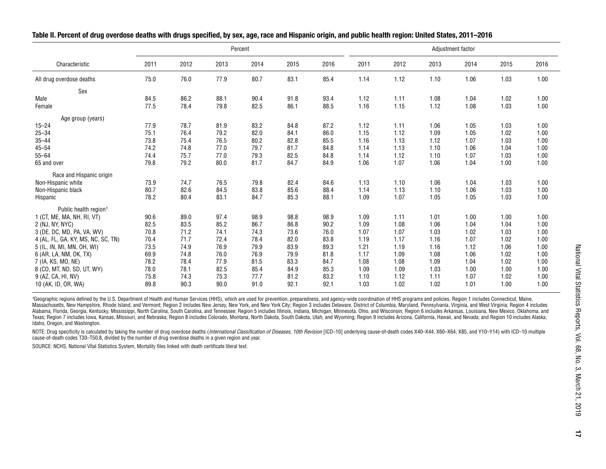<span id="page-16-0"></span>

| Table II. Percent of drug overdose deaths with drugs specified, by sex, age, race and Hispanic origin, and public health region: United States, 2011–2016 |  |
|-----------------------------------------------------------------------------------------------------------------------------------------------------------|--|
|-----------------------------------------------------------------------------------------------------------------------------------------------------------|--|

|                                    |      |      |      | Percent |      | Adjustment factor |      |      |      |      |      |      |
|------------------------------------|------|------|------|---------|------|-------------------|------|------|------|------|------|------|
| Characteristic                     | 2011 | 2012 | 2013 | 2014    | 2015 | 2016              | 2011 | 2012 | 2013 | 2014 | 2015 | 2016 |
| All drug overdose deaths           | 75.0 | 76.0 | 77.9 | 80.7    | 83.1 | 85.4              | 1.14 | 1.12 | 1.10 | 1.06 | 1.03 | 1.00 |
| Sex                                |      |      |      |         |      |                   |      |      |      |      |      |      |
| Male                               | 84.5 | 86.2 | 88.1 | 90.4    | 91.8 | 93.4              | 1.12 | 1.11 | 1.08 | 1.04 | 1.02 | 1.00 |
| Female                             | 77.5 | 78.4 | 79.8 | 82.5    | 86.1 | 88.5              | 1.16 | 1.15 | 1.12 | 1.08 | 1.03 | 1.00 |
| Age group (years)                  |      |      |      |         |      |                   |      |      |      |      |      |      |
| $15 - 24$                          | 77.9 | 78.7 | 81.9 | 83.2    | 84.8 | 87.2              | 1.12 | 1.11 | 1.06 | 1.05 | 1.03 | 1.00 |
| $25 - 34$                          | 75.1 | 76.4 | 79.2 | 82.0    | 84.1 | 86.0              | 1.15 | 1.12 | 1.09 | 1.05 | 1.02 | 1.00 |
| $35 - 44$                          | 73.8 | 75.4 | 76.5 | 80.2    | 82.8 | 85.5              | 1.16 | 1.13 | 1.12 | 1.07 | 1.03 | 1.00 |
| $45 - 54$                          | 74.2 | 74.8 | 77.0 | 79.7    | 81.7 | 84.8              | 1.14 | 1.13 | 1.10 | 1.06 | 1.04 | 1.00 |
| $55 - 64$                          | 74.4 | 75.7 | 77.0 | 79.3    | 82.5 | 84.8              | 1.14 | 1.12 | 1.10 | 1.07 | 1.03 | 1.00 |
| 65 and over                        | 79.8 | 79.2 | 80.0 | 81.7    | 84.7 | 84.9              | 1.06 | 1.07 | 1.06 | 1.04 | 1.00 | 1.00 |
| Race and Hispanic origin           |      |      |      |         |      |                   |      |      |      |      |      |      |
| Non-Hispanic white                 | 73.9 | 74.7 | 76.5 | 79.8    | 82.4 | 84.6              | 1.13 | 1.10 | 1.06 | 1.04 | 1.03 | 1.00 |
| Non-Hispanic black                 | 80.7 | 82.6 | 84.5 | 83.8    | 85.6 | 88.4              | 1.14 | 1.13 | 1.10 | 1.06 | 1.03 | 1.00 |
| Hispanic                           | 78.2 | 80.4 | 83.1 | 84.7    | 85.3 | 88.1              | 1.09 | 1.07 | 1.05 | 1.05 | 1.03 | 1.00 |
| Public health region <sup>1</sup>  |      |      |      |         |      |                   |      |      |      |      |      |      |
| 1 (CT, ME, MA, NH, RI, VT)         | 90.6 | 89.0 | 97.4 | 98.9    | 98.8 | 98.9              | 1.09 | 1.11 | 1.01 | 1.00 | 1.00 | 1.00 |
| 2 (NJ, NY, NYC)                    | 82.5 | 83.5 | 85.2 | 86.7    | 86.8 | 90.2              | 1.09 | 1.08 | 1.06 | 1.04 | 1.04 | 1.00 |
| 3 (DE, DC, MD, PA, VA, WV)         | 70.8 | 71.2 | 74.1 | 74.3    | 73.6 | 76.0              | 1.07 | 1.07 | 1.03 | 1.02 | 1.03 | 1.00 |
| 4 (AL, FL, GA, KY, MS, NC, SC, TN) | 70.4 | 71.7 | 72.4 | 78.4    | 82.0 | 83.8              | 1.19 | 1.17 | 1.16 | 1.07 | 1.02 | 1.00 |
| 5 (IL, IN, MI, MN, OH, WI)         | 73.5 | 74.9 | 76.9 | 79.9    | 83.9 | 89.3              | 1.21 | 1.19 | 1.16 | 1.12 | 1.06 | 1.00 |
| 6 (AR, LA, NM, OK, TX)             | 69.9 | 74.8 | 76.0 | 76.9    | 79.9 | 81.8              | 1.17 | 1.09 | 1.08 | 1.06 | 1.02 | 1.00 |
| 7 (IA, KS, MO, NE)                 | 78.2 | 78.4 | 77.9 | 81.5    | 83.3 | 84.7              | 1.08 | 1.08 | 1.09 | 1.04 | 1.02 | 1.00 |
| 8 (CO, MT, ND, SD, UT, WY)         | 78.0 | 78.1 | 82.5 | 85.4    | 84.9 | 85.3              | 1.09 | 1.09 | 1.03 | 1.00 | 1.00 | 1.00 |
| 9 (AZ, CA, HI, NV)                 | 75.8 | 74.3 | 75.3 | 77.7    | 81.2 | 83.2              | 1.10 | 1.12 | 1.11 | 1.07 | 1.02 | 1.00 |
| 10 (AK, ID, OR, WA)                | 89.8 | 90.3 | 90.0 | 91.0    | 92.1 | 92.1              | 1.03 | 1.02 | 1.02 | 1.01 | 1.00 | 1.00 |

'Geographic regions defined by the U.S. Department of Health and Human Services (HHS), which are used for prevention, preparedness, and agency-wide coordination of HHS programs and policies. Region 1 includes Connecticut, Massachusetts, New Hampshire, Rhode Island, and Vermont; Region 2 includes New Jersey, New York, and New York City; Region 3 includes Delaware, District of Columbia, Maryland, Pennsylvania, Virginia, and West Virginia; Reg Alabama, Florida, Georgia, Kentucky, Mississippi, North Carolina, South Carolina, and Tennessee; Region 5 includes Illinois, Indiana, Michigan, Minnesota, Ohio, and Wisconsin; Region 6 includes Arkansas, Louisiana, New Mex Texas; Region 7 includes Iowa, Kansas, Missouri, and Nebraska; Region 8 includes Colorado, Montana, North Dakota, South Dakota, Utah, and Wyoming; Region 9 includes Arizona, California, Hawaii, and Nevada; and Region 10 in Idaho, Oregon, and Washington.

NOTE: Drug specificity is calculated by taking the number of drug overdose deaths (International Classification of Diseases, 10th Revision [ICD-10] underlying cause-of-death codes X40-X44, X60-X64, X85, and Y10-Y14) with I cause-of-death codes T30–T50.8, divided by the number of drug overdose deaths in a given region and year.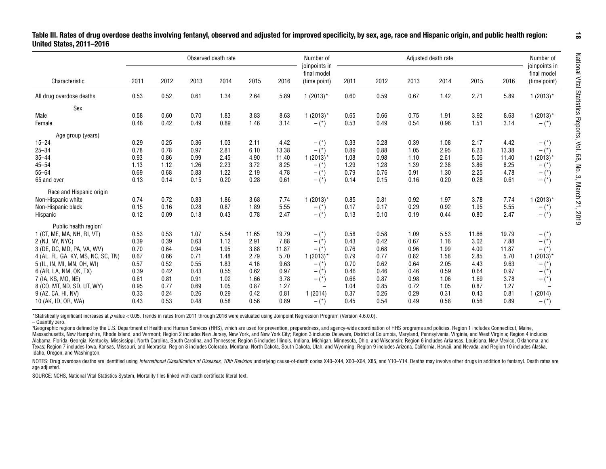<span id="page-17-0"></span>

|                                    |      |      |      | Observed death rate |       |       | Number of                                    | Adjusted death rate |      |      |      |       |       | Number of                                    |
|------------------------------------|------|------|------|---------------------|-------|-------|----------------------------------------------|---------------------|------|------|------|-------|-------|----------------------------------------------|
| Characteristic                     | 2011 | 2012 | 2013 | 2014                | 2015  | 2016  | joinpoints in<br>final model<br>(time point) | 2011                | 2012 | 2013 | 2014 | 2015  | 2016  | joinpoints in<br>final model<br>(time point) |
| All drug overdose deaths           | 0.53 | 0.52 | 0.61 | 1.34                | 2.64  | 5.89  | $1(2013)^{*}$                                | 0.60                | 0.59 | 0.67 | 1.42 | 2.71  | 5.89  | $1(2013)^{*}$                                |
| Sex                                |      |      |      |                     |       |       |                                              |                     |      |      |      |       |       |                                              |
| Male                               | 0.58 | 0.60 | 0.70 | 1.83                | 3.83  | 8.63  | $1(2013)^{*}$                                | 0.65                | 0.66 | 0.75 | 1.91 | 3.92  | 8.63  | $1(2013)^{*}$                                |
| Female                             | 0.46 | 0.42 | 0.49 | 0.89                | 1.46  | 3.14  | $ (*)$                                       | 0.53                | 0.49 | 0.54 | 0.96 | 1.51  | 3.14  | $-$ (*)                                      |
| Age group (years)                  |      |      |      |                     |       |       |                                              |                     |      |      |      |       |       |                                              |
| $15 - 24$                          | 0.29 | 0.25 | 0.36 | 1.03                | 2.11  | 4.42  | $ (*)$                                       | 0.33                | 0.28 | 0.39 | 1.08 | 2.17  | 4.42  | $-$ (*)                                      |
| $25 - 34$                          | 0.78 | 0.78 | 0.97 | 2.81                | 6.10  | 13.38 | $-$ (*)                                      | 0.89                | 0.88 | 1.05 | 2.95 | 6.23  | 13.38 | $-$ (*)                                      |
| $35 - 44$                          | 0.93 | 0.86 | 0.99 | 2.45                | 4.90  | 11.40 | 1(2013)                                      | 1.08                | 0.98 | 1.10 | 2.61 | 5.06  | 11.40 | $1(2013)^{*}$                                |
| $45 - 54$                          | 1.13 | 1.12 | 1.26 | 2.23                | 3.72  | 8.25  | $-$ (*)                                      | 1.29                | 1.28 | 1.39 | 2.38 | 3.86  | 8.25  | $-$ (*)                                      |
| $55 - 64$                          | 0.69 | 0.68 | 0.83 | 1.22                | 2.19  | 4.78  | $ (*)$                                       | 0.79                | 0.76 | 0.91 | 1.30 | 2.25  | 4.78  | $-$ (*)                                      |
| 65 and over                        | 0.13 | 0.14 | 0.15 | 0.20                | 0.28  | 0.61  | $-$ (*)                                      | 0.14                | 0.15 | 0.16 | 0.20 | 0.28  | 0.61  | $-$ (*)                                      |
| Race and Hispanic origin           |      |      |      |                     |       |       |                                              |                     |      |      |      |       |       |                                              |
| Non-Hispanic white                 | 0.74 | 0.72 | 0.83 | 1.86                | 3.68  | 7.74  | $1(2013)^{*}$                                | 0.85                | 0.81 | 0.92 | 1.97 | 3.78  | 7.74  | $1(2013)^{*}$                                |
| Non-Hispanic black                 | 0.15 | 0.16 | 0.28 | 0.87                | 1.89  | 5.55  | $ (*)$                                       | 0.17                | 0.17 | 0.29 | 0.92 | 1.95  | 5.55  | $-$ (*)                                      |
| Hispanic                           | 0.12 | 0.09 | 0.18 | 0.43                | 0.78  | 2.47  | $ (*)$                                       | 0.13                | 0.10 | 0.19 | 0.44 | 0.80  | 2.47  | $-$ (*)                                      |
| Public health region <sup>1</sup>  |      |      |      |                     |       |       |                                              |                     |      |      |      |       |       |                                              |
| 1 (CT, ME, MA, NH, RI, VT)         | 0.53 | 0.53 | 1.07 | 5.54                | 11.65 | 19.79 | $ (*)$                                       | 0.58                | 0.58 | 1.09 | 5.53 | 11.66 | 19.79 | $-$ (*)                                      |
| 2 (NJ, NY, NYC)                    | 0.39 | 0.39 | 0.63 | 1.12                | 2.91  | 7.88  | $ (*)$                                       | 0.43                | 0.42 | 0.67 | 1.16 | 3.02  | 7.88  | $-$ (*)                                      |
| 3 (DE, DC, MD, PA, VA, WV)         | 0.70 | 0.64 | 0.94 | 1.95                | 3.88  | 11.87 | $ (*)$                                       | 0.76                | 0.68 | 0.96 | 1.99 | 4.00  | 11.87 | $-$ (*)                                      |
| 4 (AL, FL, GA, KY, MS, NC, SC, TN) | 0.67 | 0.66 | 0.71 | 1.48                | 2.79  | 5.70  | 1(2013)                                      | 0.79                | 0.77 | 0.82 | 1.58 | 2.85  | 5.70  | $1(2013)^{*}$                                |
| 5 (IL, IN, MI, MN, OH, WI)         | 0.57 | 0.52 | 0.55 | 1.83                | 4.16  | 9.63  | $ (*)$                                       | 0.70                | 0.62 | 0.64 | 2.05 | 4.43  | 9.63  | $ (*)$                                       |
| 6 (AR, LA, NM, OK, TX)             | 0.39 | 0.42 | 0.43 | 0.55                | 0.62  | 0.97  | $ (*)$                                       | 0.46                | 0.46 | 0.46 | 0.59 | 0.64  | 0.97  | $ (*)$                                       |
| 7 (IA, KS, MO, NE)                 | 0.61 | 0.81 | 0.91 | 1.02                | 1.66  | 3.78  | $ (*)$                                       | 0.66                | 0.87 | 0.98 | 1.06 | 1.69  | 3.78  | $-\left( \text{ }^{\star }\right)$           |
| 8 (CO, MT, ND, SD, UT, WY)         | 0.95 | 0.77 | 0.69 | 1.05                | 0.87  | 1.27  |                                              | 1.04                | 0.85 | 0.72 | 1.05 | 0.87  | 1.27  |                                              |
| 9 (AZ, CA, HI, NV)                 | 0.33 | 0.24 | 0.26 | 0.29                | 0.42  | 0.81  | 1(2014)                                      | 0.37                | 0.26 | 0.29 | 0.31 | 0.43  | 0.81  | 1(2014)                                      |
| 10 (AK, ID, OR, WA)                | 0.43 | 0.53 | 0.48 | 0.58                | 0.56  | 0.89  | $ (*)$                                       | 0.45                | 0.54 | 0.49 | 0.58 | 0.56  | 0.89  | $-$ (*)                                      |

\*Statistically significant increases at *p* value < 0.05. Trends in rates from 2011 through 2016 were evaluated using Joinpoint Regression Program (Version 4.6.0.0). – Quantity zero.

Geographic regions defined by the U.S. Department of Health and Human Services (HHS), which are used for prevention, preparedness, and agency-wide coordination of HHS programs and policies. Region 1 includes Connecticut, M Massachusetts, New Hampshire, Rhode Island, and Vermont; Region 2 includes New Jersey, New York, and New York City; Region 3 includes Delaware, District of Columbia, Maryland, Pennsylvania, Virginia, and West Virginia; Reg Alabama, Florida, Georgia, Kentucky, Mississippi, North Carolina, South Carolina, and Tennessee; Region 5 includes Illinois, Indiana, Michigan, Minnesota, Ohio, and Wisconsin; Region 6 includes Arkansas, Louisiana, New Mex Texas; Region 7 includes Iowa, Kansas, Missouri, and Nebraska; Region 8 includes Colorado, Montana, North Dakota, South Dakota, Utah, and Wyoming; Region 9 includes Arizona, California, Hawaii, and Neyada; and Region 10 in Idaho, Oregon, and Washington.

NOTES: Drug overdose deaths are identified using International Classification of Diseases, 10th Revision underlying cause-of-death codes X40-X44, X60-X64, X85, and Y10-Y14. Deaths may involve other drugs in addition to fen age adjusted.